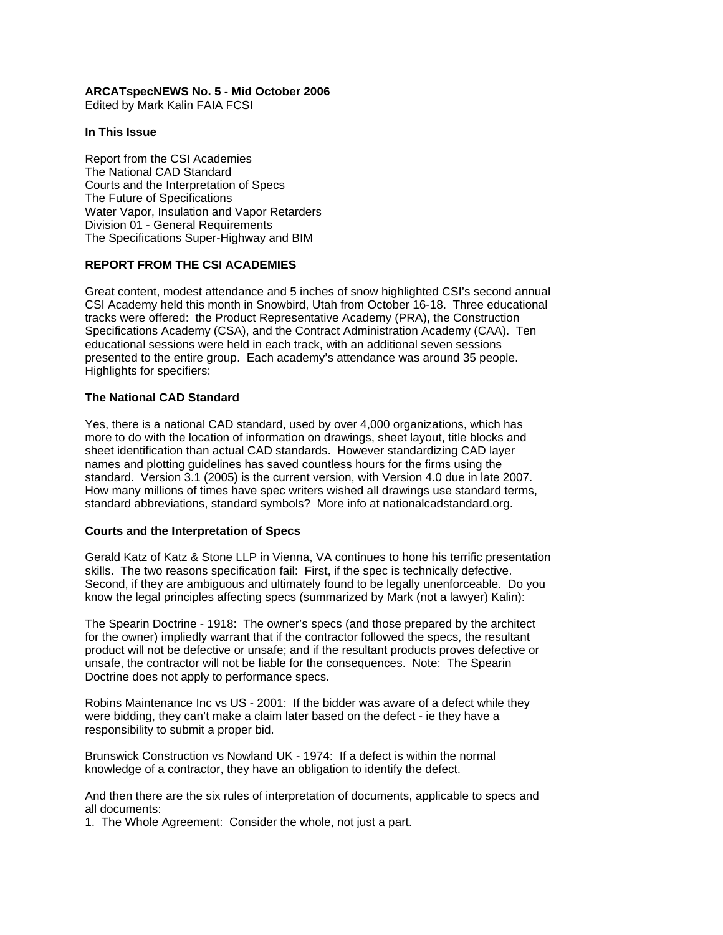## **ARCATspecNEWS No. 5 - Mid October 2006**

Edited by Mark Kalin FAIA FCSI

#### **In This Issue**

Report from the CSI Academies The National CAD Standard Courts and the Interpretation of Specs The Future of Specifications Water Vapor, Insulation and Vapor Retarders Division 01 - General Requirements The Specifications Super-Highway and BIM

### **REPORT FROM THE CSI ACADEMIES**

Great content, modest attendance and 5 inches of snow highlighted CSI's second annual CSI Academy held this month in Snowbird, Utah from October 16-18. Three educational tracks were offered: the Product Representative Academy (PRA), the Construction Specifications Academy (CSA), and the Contract Administration Academy (CAA). Ten educational sessions were held in each track, with an additional seven sessions presented to the entire group. Each academy's attendance was around 35 people. Highlights for specifiers:

## **The National CAD Standard**

Yes, there is a national CAD standard, used by over 4,000 organizations, which has more to do with the location of information on drawings, sheet layout, title blocks and sheet identification than actual CAD standards. However standardizing CAD layer names and plotting guidelines has saved countless hours for the firms using the standard. Version 3.1 (2005) is the current version, with Version 4.0 due in late 2007. How many millions of times have spec writers wished all drawings use standard terms, standard abbreviations, standard symbols? More info at nationalcadstandard.org.

### **Courts and the Interpretation of Specs**

Gerald Katz of Katz & Stone LLP in Vienna, VA continues to hone his terrific presentation skills. The two reasons specification fail: First, if the spec is technically defective. Second, if they are ambiguous and ultimately found to be legally unenforceable. Do you know the legal principles affecting specs (summarized by Mark (not a lawyer) Kalin):

The Spearin Doctrine - 1918: The owner's specs (and those prepared by the architect for the owner) impliedly warrant that if the contractor followed the specs, the resultant product will not be defective or unsafe; and if the resultant products proves defective or unsafe, the contractor will not be liable for the consequences. Note: The Spearin Doctrine does not apply to performance specs.

Robins Maintenance Inc vs US - 2001: If the bidder was aware of a defect while they were bidding, they can't make a claim later based on the defect - ie they have a responsibility to submit a proper bid.

Brunswick Construction vs Nowland UK - 1974: If a defect is within the normal knowledge of a contractor, they have an obligation to identify the defect.

And then there are the six rules of interpretation of documents, applicable to specs and all documents:

1. The Whole Agreement: Consider the whole, not just a part.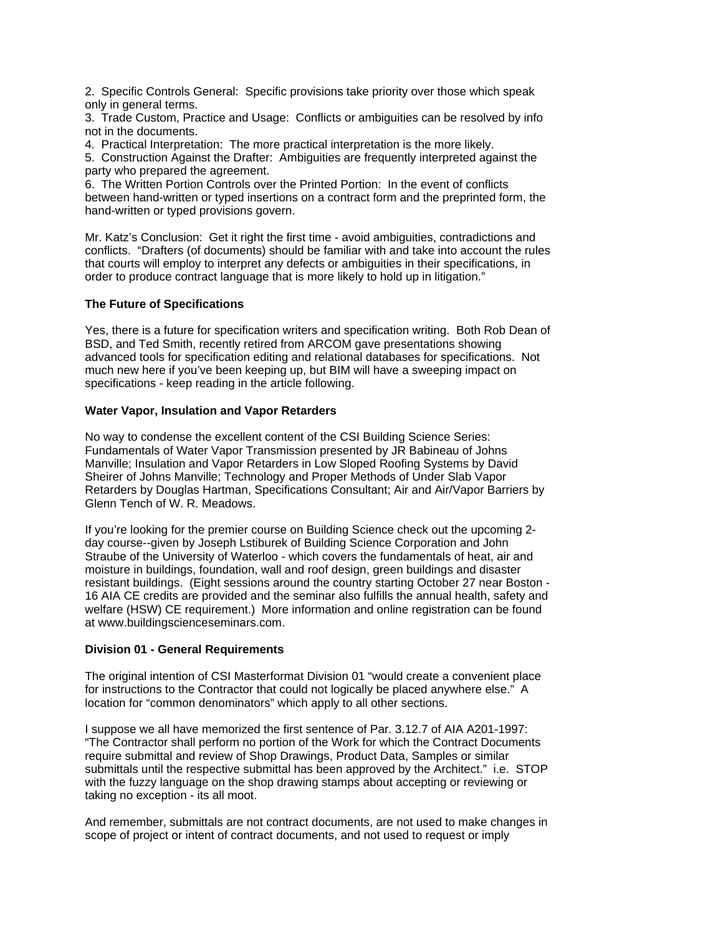2. Specific Controls General: Specific provisions take priority over those which speak only in general terms.

3. Trade Custom, Practice and Usage: Conflicts or ambiguities can be resolved by info not in the documents.

4. Practical Interpretation: The more practical interpretation is the more likely.

5. Construction Against the Drafter: Ambiguities are frequently interpreted against the party who prepared the agreement.

6. The Written Portion Controls over the Printed Portion: In the event of conflicts between hand-written or typed insertions on a contract form and the preprinted form, the hand-written or typed provisions govern.

Mr. Katz's Conclusion: Get it right the first time - avoid ambiguities, contradictions and conflicts. "Drafters (of documents) should be familiar with and take into account the rules that courts will employ to interpret any defects or ambiguities in their specifications, in order to produce contract language that is more likely to hold up in litigation."

### **The Future of Specifications**

Yes, there is a future for specification writers and specification writing. Both Rob Dean of BSD, and Ted Smith, recently retired from ARCOM gave presentations showing advanced tools for specification editing and relational databases for specifications. Not much new here if you've been keeping up, but BIM will have a sweeping impact on specifications - keep reading in the article following.

## **Water Vapor, Insulation and Vapor Retarders**

No way to condense the excellent content of the CSI Building Science Series: Fundamentals of Water Vapor Transmission presented by JR Babineau of Johns Manville; Insulation and Vapor Retarders in Low Sloped Roofing Systems by David Sheirer of Johns Manville; Technology and Proper Methods of Under Slab Vapor Retarders by Douglas Hartman, Specifications Consultant; Air and Air/Vapor Barriers by Glenn Tench of W. R. Meadows.

If you're looking for the premier course on Building Science check out the upcoming 2 day course--given by Joseph Lstiburek of Building Science Corporation and John Straube of the University of Waterloo - which covers the fundamentals of heat, air and moisture in buildings, foundation, wall and roof design, green buildings and disaster resistant buildings. (Eight sessions around the country starting October 27 near Boston - 16 AIA CE credits are provided and the seminar also fulfills the annual health, safety and welfare (HSW) CE requirement.) More information and online registration can be found at www.buildingscienceseminars.com.

### **Division 01 - General Requirements**

The original intention of CSI Masterformat Division 01 "would create a convenient place for instructions to the Contractor that could not logically be placed anywhere else." A location for "common denominators" which apply to all other sections.

I suppose we all have memorized the first sentence of Par. 3.12.7 of AIA A201-1997: "The Contractor shall perform no portion of the Work for which the Contract Documents require submittal and review of Shop Drawings, Product Data, Samples or similar submittals until the respective submittal has been approved by the Architect." i.e. STOP with the fuzzy language on the shop drawing stamps about accepting or reviewing or taking no exception - its all moot.

And remember, submittals are not contract documents, are not used to make changes in scope of project or intent of contract documents, and not used to request or imply